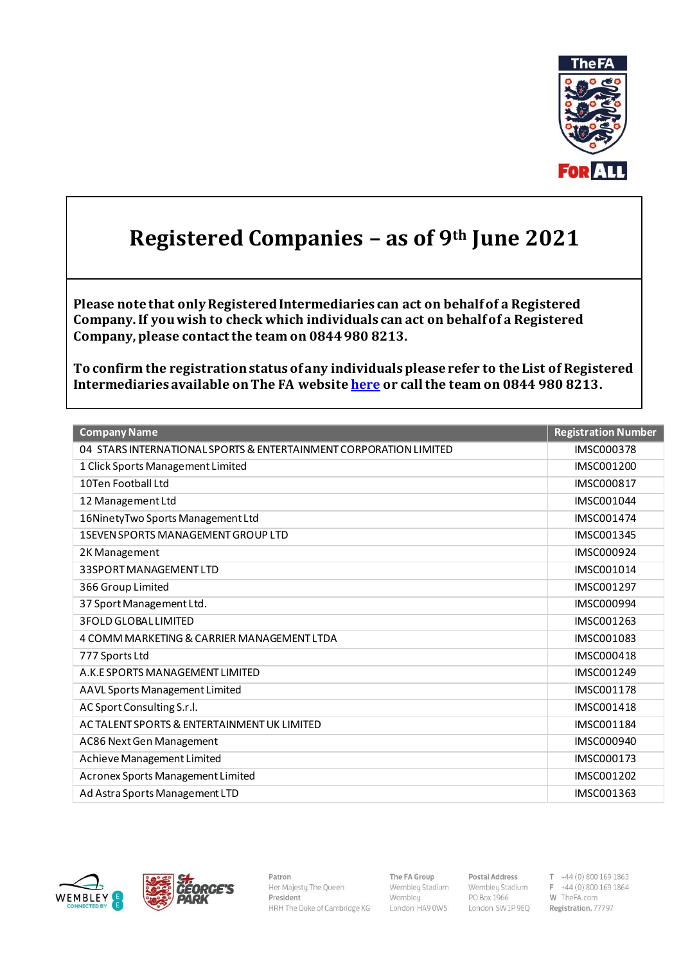

## **Registered Companies – as of 9th June 2021**

**Please note that only Registered Intermediaries can act on behalf of a Registered Company. If you wish to check which individuals can act on behalf of a Registered Company, please contact the team on 0844 980 8213.** 

**To confirm the registration status of any individuals please refer to the List of Registered Intermediaries available on The FA websit[e here](http://www.thefa.com/football-rules-governance/policies/intermediaries/fa-registered-intermediaries-list) or call the team on 0844 980 8213.**

| <b>Company Name</b>                                               | <b>Registration Number</b> |
|-------------------------------------------------------------------|----------------------------|
| 04 STARS INTERNATIONAL SPORTS & ENTERTAINMENT CORPORATION LIMITED | <b>IMSC000378</b>          |
| 1 Click Sports Management Limited                                 | IMSC001200                 |
| 10Ten Football I td                                               | <b>IMSC000817</b>          |
| 12 Management Ltd                                                 | IMSC001044                 |
| 16NinetyTwo Sports Management Ltd                                 | IMSC001474                 |
| <b>1SEVEN SPORTS MANAGEMENT GROUP LTD</b>                         | IMSC001345                 |
| 2K Management                                                     | <b>IMSC000924</b>          |
| 33SPORT MANAGEMENT LTD                                            | IMSC001014                 |
| 366 Group Limited                                                 | IMSC001297                 |
| 37 Sport Management Ltd.                                          | <b>IMSC000994</b>          |
| <b>3FOLD GLOBAL LIMITED</b>                                       | IMSC001263                 |
| 4 COMM MARKETING & CARRIER MANAGEMENT LTDA                        | IMSC001083                 |
| 777 Sports Ltd                                                    | <b>IMSC000418</b>          |
| A.K.E SPORTS MANAGEMENT LIMITED                                   | IMSC001249                 |
| AAVL Sports Management Limited                                    | IMSC001178                 |
| AC Sport Consulting S.r.l.                                        | IMSC001418                 |
| AC TALENT SPORTS & ENTERTAINMENT UK LIMITED                       | IMSC001184                 |
| AC86 Next Gen Management                                          | IMSC000940                 |
| Achieve Management Limited                                        | IMSC000173                 |
| Acronex Sports Management Limited                                 | IMSC001202                 |
| Ad Astra Sports Management LTD                                    | IMSC001363                 |





Patron Her Majesty The Queen President HRH The Duke of Cambridge KG The FA Group Wembley Stadium Wembley London HA9 0WS

**Postal Address** T +44 (0) 800 169 1863<br>
Wembley Stadium F +44 (0) 800 169 1864<br>
PO Box 1966 W TheFA.com London SW1P 9EQ Registration. 77797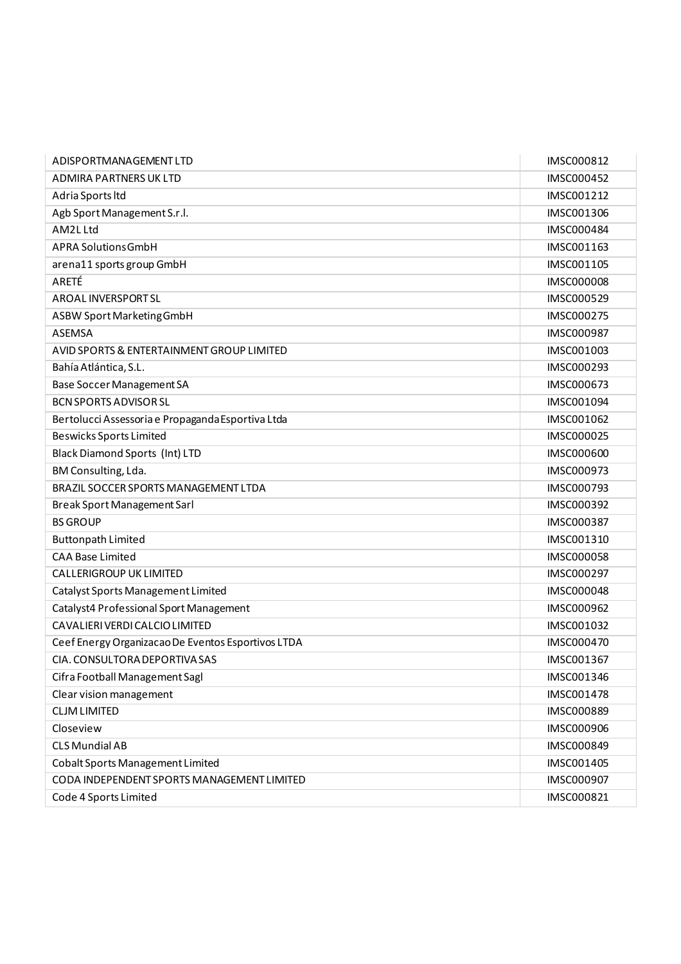| ADISPORTMANAGEMENT LTD                             | IMSC000812        |
|----------------------------------------------------|-------------------|
| ADMIRA PARTNERS UK LTD                             | <b>IMSC000452</b> |
| Adria Sports Itd                                   | IMSC001212        |
| Agb Sport Management S.r.l.                        | IMSC001306        |
| AM2L Ltd                                           | IMSC000484        |
| APRA Solutions GmbH                                | IMSC001163        |
| arena11 sports group GmbH                          | IMSC001105        |
| ARETÉ                                              | <b>IMSC000008</b> |
| <b>AROAL INVERSPORT SL</b>                         | IMSC000529        |
| ASBW Sport Marketing GmbH                          | IMSC000275        |
| <b>ASEMSA</b>                                      | <b>IMSC000987</b> |
| AVID SPORTS & ENTERTAINMENT GROUP LIMITED          | IMSC001003        |
| Bahía Atlántica, S.L.                              | IMSC000293        |
| <b>Base Soccer Management SA</b>                   | <b>IMSC000673</b> |
| <b>BCN SPORTS ADVISOR SL</b>                       | IMSC001094        |
| Bertolucci Assessoria e Propaganda Esportiva Ltda  | IMSC001062        |
| <b>Beswicks Sports Limited</b>                     | IMSC000025        |
| <b>Black Diamond Sports (Int) LTD</b>              | <b>IMSC000600</b> |
| BM Consulting, Lda.                                | IMSC000973        |
| BRAZIL SOCCER SPORTS MANAGEMENT LTDA               | IMSC000793        |
| Break Sport Management Sarl                        | IMSC000392        |
| <b>BS GROUP</b>                                    | IMSC000387        |
| <b>Buttonpath Limited</b>                          | IMSC001310        |
| <b>CAA Base Limited</b>                            | IMSC000058        |
| <b>CALLERIGROUP UK LIMITED</b>                     | IMSC000297        |
| Catalyst Sports Management Limited                 | <b>IMSC000048</b> |
| Catalyst4 Professional Sport Management            | IMSC000962        |
| CAVALIERI VERDI CALCIO LIMITED                     | IMSC001032        |
| Ceef Energy Organizacao De Eventos Esportivos LTDA | IMSC000470        |
| CIA. CONSULTORA DEPORTIVA SAS                      | IMSC001367        |
| Cifra Football Management Sagl                     | IMSC001346        |
| Clear vision management                            | IMSC001478        |
| <b>CLJM LIMITED</b>                                | IMSC000889        |
| Closeview                                          | IMSC000906        |
| <b>CLS Mundial AB</b>                              | IMSC000849        |
| Cobalt Sports Management Limited                   | IMSC001405        |
| CODA INDEPENDENT SPORTS MANAGEMENT LIMITED         | IMSC000907        |
| Code 4 Sports Limited                              | IMSC000821        |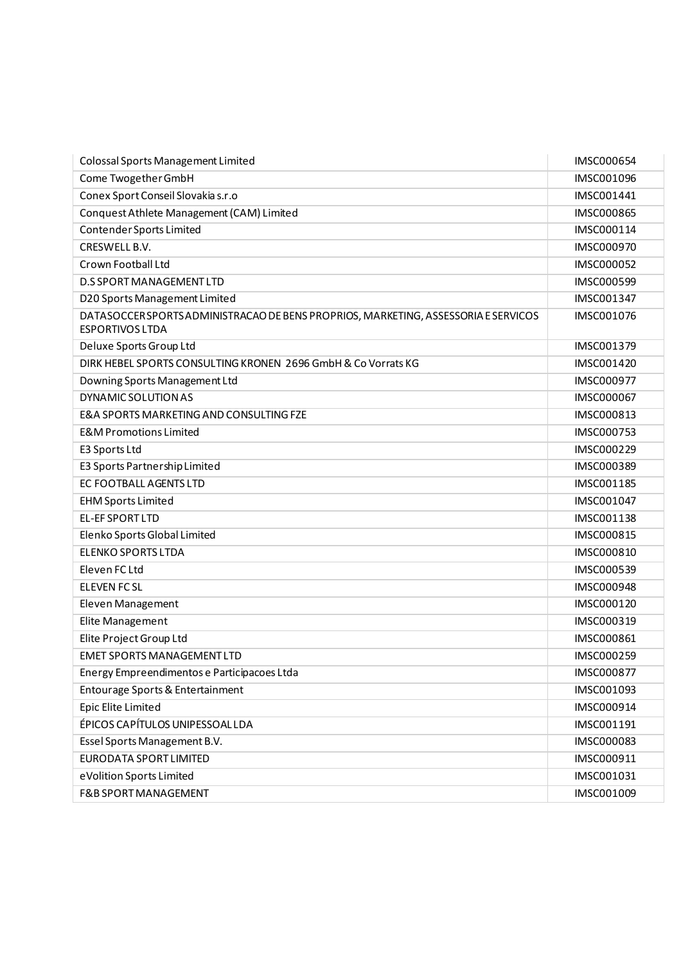| Colossal Sports Management Limited                                                                          | IMSC000654        |
|-------------------------------------------------------------------------------------------------------------|-------------------|
| Come Twogether GmbH                                                                                         | IMSC001096        |
| Conex Sport Conseil Slovakia s.r.o                                                                          | IMSC001441        |
| Conquest Athlete Management (CAM) Limited                                                                   | <b>IMSC000865</b> |
| Contender Sports Limited                                                                                    | IMSC000114        |
| CRESWELL B.V.                                                                                               | IMSC000970        |
| Crown Football Ltd                                                                                          | IMSC000052        |
| <b>D.S SPORT MANAGEMENT LTD</b>                                                                             | IMSC000599        |
| D20 Sports Management Limited                                                                               | IMSC001347        |
| DATASOCCERSPORTS ADMINISTRACAO DE BENS PROPRIOS, MARKETING, ASSESSORIA E SERVICOS<br><b>ESPORTIVOS LTDA</b> | IMSC001076        |
| Deluxe Sports Group Ltd                                                                                     | IMSC001379        |
| DIRK HEBEL SPORTS CONSULTING KRONEN 2696 GmbH & Co Vorrats KG                                               | IMSC001420        |
| Downing Sports Management Ltd                                                                               | IMSC000977        |
| <b>DYNAMIC SOLUTION AS</b>                                                                                  | IMSC000067        |
| <b>E&amp;A SPORTS MARKETING AND CONSULTING FZE</b>                                                          | IMSC000813        |
| <b>E&amp;M Promotions Limited</b>                                                                           | IMSC000753        |
| E3 Sports Ltd                                                                                               | IMSC000229        |
| E3 Sports Partnership Limited                                                                               | IMSC000389        |
| EC FOOTBALL AGENTS LTD                                                                                      | IMSC001185        |
| <b>EHM Sports Limited</b>                                                                                   | IMSC001047        |
| EL-EF SPORT LTD                                                                                             | IMSC001138        |
| Elenko Sports Global Limited                                                                                | IMSC000815        |
| <b>ELENKO SPORTS LTDA</b>                                                                                   | IMSC000810        |
| Eleven FC Ltd                                                                                               | IMSC000539        |
| <b>ELEVEN FC SL</b>                                                                                         | IMSC000948        |
| Eleven Management                                                                                           | IMSC000120        |
| Elite Management                                                                                            | IMSC000319        |
| Elite Project Group Ltd                                                                                     | IMSC000861        |
| <b>EMET SPORTS MANAGEMENT LTD</b>                                                                           | IMSC000259        |
| Energy Empreendimentos e Participacoes Ltda                                                                 | <b>IMSC000877</b> |
| Entourage Sports & Entertainment                                                                            | IMSC001093        |
| Epic Elite Limited                                                                                          | IMSC000914        |
| ÉPICOS CAPÍTULOS UNIPESSOAL LDA                                                                             | IMSC001191        |
| Essel Sports Management B.V.                                                                                | IMSC000083        |
| EURODATA SPORT LIMITED                                                                                      | IMSC000911        |
| eVolition Sports Limited                                                                                    | IMSC001031        |
| <b>F&amp;B SPORT MANAGEMENT</b>                                                                             | IMSC001009        |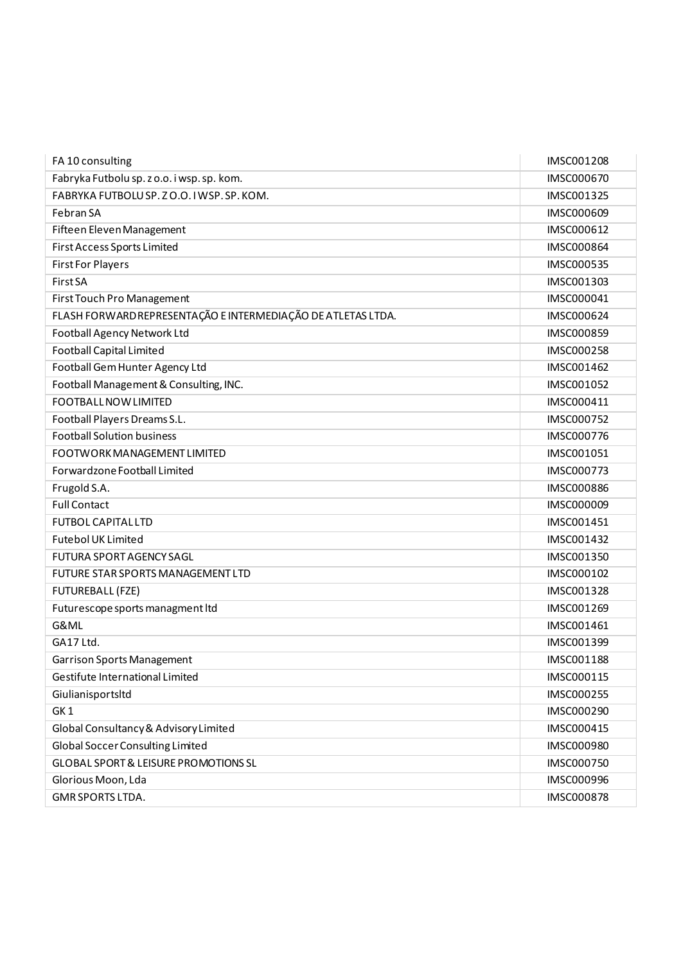| FA 10 consulting                                             | IMSC001208        |
|--------------------------------------------------------------|-------------------|
| Fabryka Futbolu sp. z o.o. i wsp. sp. kom.                   | <b>IMSC000670</b> |
| FABRYKA FUTBOLU SP. Z O.O. I WSP. SP. KOM.                   | IMSC001325        |
| Febran SA                                                    | IMSC000609        |
| Fifteen Eleven Management                                    | IMSC000612        |
| First Access Sports Limited                                  | <b>IMSC000864</b> |
| <b>First For Players</b>                                     | IMSC000535        |
| First SA                                                     | IMSC001303        |
| First Touch Pro Management                                   | IMSC000041        |
| FLASH FORWARD REPRESENTAÇÃO E INTERMEDIAÇÃO DE ATLETAS LTDA. | IMSC000624        |
| Football Agency Network Ltd                                  | IMSC000859        |
| <b>Football Capital Limited</b>                              | IMSC000258        |
| Football Gem Hunter Agency Ltd                               | IMSC001462        |
| Football Management & Consulting, INC.                       | IMSC001052        |
| <b>FOOTBALL NOW LIMITED</b>                                  | IMSC000411        |
| Football Players Dreams S.L.                                 | IMSC000752        |
| <b>Football Solution business</b>                            | IMSC000776        |
| FOOTWORK MANAGEMENT LIMITED                                  | IMSC001051        |
| Forwardzone Football Limited                                 | IMSC000773        |
| Frugold S.A.                                                 | <b>IMSC000886</b> |
| <b>Full Contact</b>                                          | IMSC000009        |
| <b>FUTBOL CAPITAL LTD</b>                                    | IMSC001451        |
| <b>Futebol UK Limited</b>                                    | IMSC001432        |
| <b>FUTURA SPORT AGENCY SAGL</b>                              | IMSC001350        |
| FUTURE STAR SPORTS MANAGEMENT LTD                            | IMSC000102        |
| FUTUREBALL (FZE)                                             | IMSC001328        |
| Futurescope sports managment Itd                             | IMSC001269        |
| G&ML                                                         | IMSC001461        |
| GA17 Ltd.                                                    | IMSC001399        |
| Garrison Sports Management                                   | IMSC001188        |
| Gestifute International Limited                              | IMSC000115        |
| Giulianisportsltd                                            | IMSC000255        |
| GK <sub>1</sub>                                              | IMSC000290        |
| Global Consultancy & Advisory Limited                        | IMSC000415        |
| <b>Global Soccer Consulting Limited</b>                      | IMSC000980        |
| <b>GLOBAL SPORT &amp; LEISURE PROMOTIONS SL</b>              | IMSC000750        |
| Glorious Moon, Lda                                           | IMSC000996        |
| GMR SPORTS LTDA.                                             | IMSC000878        |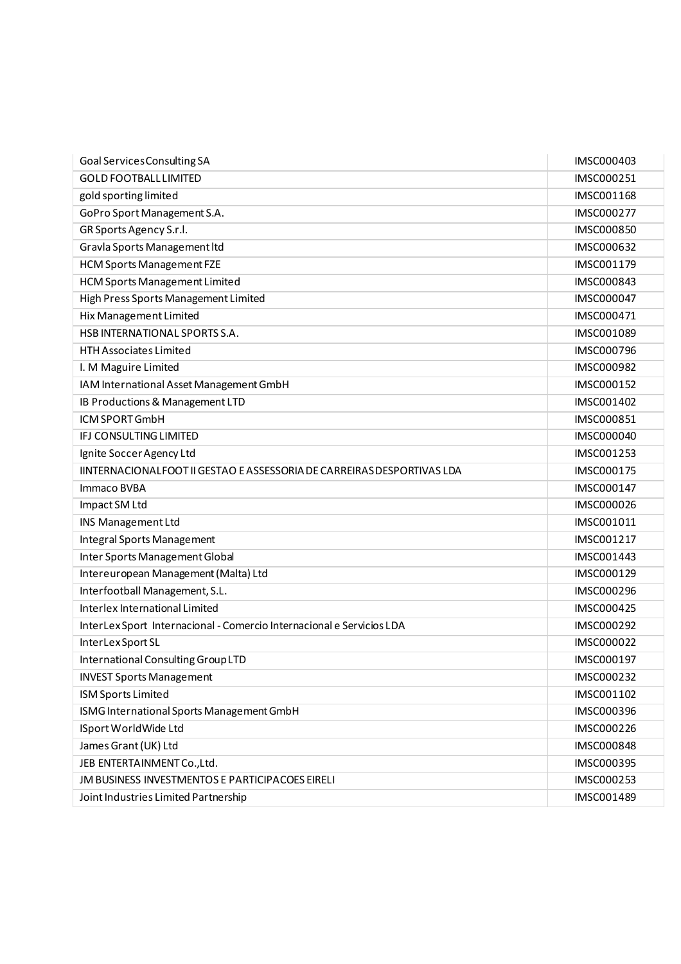| Goal Services Consulting SA                                            | IMSC000403        |
|------------------------------------------------------------------------|-------------------|
| <b>GOLD FOOTBALL LIMITED</b>                                           | IMSC000251        |
| gold sporting limited                                                  | IMSC001168        |
| GoPro Sport Management S.A.                                            | IMSC000277        |
| GR Sports Agency S.r.l.                                                | <b>IMSC000850</b> |
| Gravla Sports Management Itd                                           | IMSC000632        |
| <b>HCM Sports Management FZE</b>                                       | IMSC001179        |
| <b>HCM Sports Management Limited</b>                                   | IMSC000843        |
| High Press Sports Management Limited                                   | IMSC000047        |
| Hix Management Limited                                                 | IMSC000471        |
| HSB INTERNATIONAL SPORTS S.A.                                          | IMSC001089        |
| <b>HTH Associates Limited</b>                                          | IMSC000796        |
| I. M Maguire Limited                                                   | IMSC000982        |
| IAM International Asset Management GmbH                                | IMSC000152        |
| IB Productions & Management LTD                                        | IMSC001402        |
| ICM SPORT GmbH                                                         | IMSC000851        |
| IFJ CONSULTING LIMITED                                                 | IMSC000040        |
| Ignite Soccer Agency Ltd                                               | IMSC001253        |
| IINTERNACIONALFOOT II GESTAO E ASSESSORIA DE CARREIRAS DESPORTIVAS LDA | IMSC000175        |
| Immaco BVBA                                                            | IMSC000147        |
| Impact SM Ltd                                                          | IMSC000026        |
| INS Management Ltd                                                     | IMSC001011        |
| Integral Sports Management                                             | IMSC001217        |
| Inter Sports Management Global                                         | IMSC001443        |
| Intereuropean Management (Malta) Ltd                                   | IMSC000129        |
| Interfootball Management, S.L.                                         | IMSC000296        |
| Interlex International Limited                                         | IMSC000425        |
| InterLexSport Internacional - Comercio Internacional e Servicios LDA   | IMSC000292        |
| InterLex Sport SL                                                      | IMSC000022        |
| International Consulting Group LTD                                     | IMSC000197        |
| <b>INVEST Sports Management</b>                                        | IMSC000232        |
| <b>ISM Sports Limited</b>                                              | IMSC001102        |
| ISMG International Sports Management GmbH                              | IMSC000396        |
| ISport WorldWide Ltd                                                   | IMSC000226        |
| James Grant (UK) Ltd                                                   | <b>IMSC000848</b> |
| JEB ENTERTAINMENT Co., Ltd.                                            | IMSC000395        |
| JM BUSINESS INVESTMENTOS E PARTICIPACOES EIRELI                        | IMSC000253        |
| Joint Industries Limited Partnership                                   | IMSC001489        |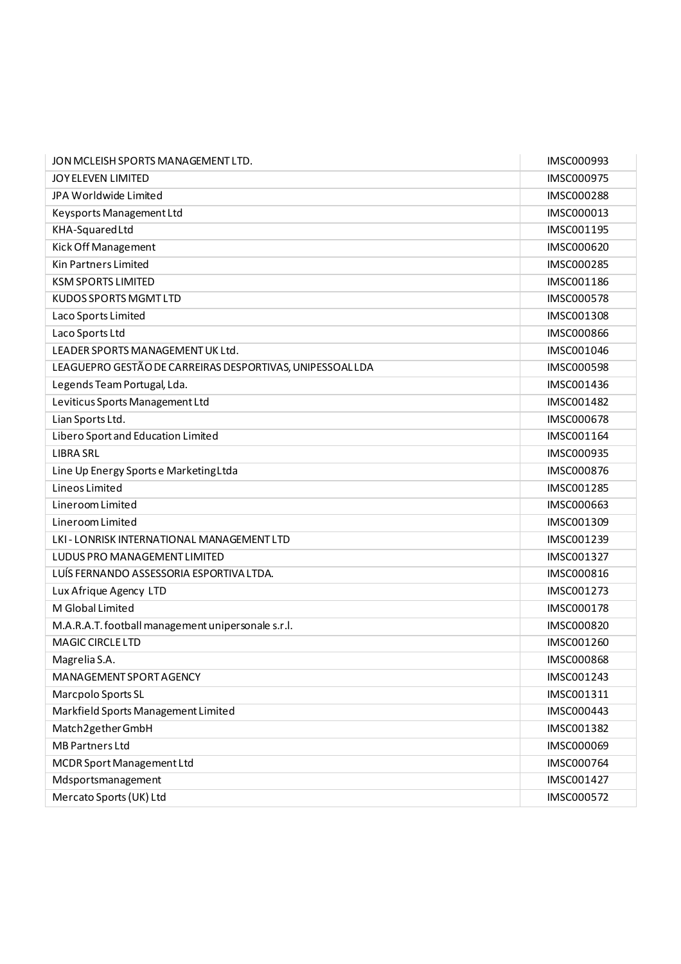| JON MCLEISH SPORTS MANAGEMENT LTD.                        | IMSC000993        |
|-----------------------------------------------------------|-------------------|
| JOY ELEVEN LIMITED                                        | IMSC000975        |
| JPA Worldwide Limited                                     | IMSC000288        |
| Keysports Management Ltd                                  | IMSC000013        |
| KHA-Squared Ltd                                           | IMSC001195        |
| Kick Off Management                                       | IMSC000620        |
| Kin Partners Limited                                      | IMSC000285        |
| <b>KSM SPORTS LIMITED</b>                                 | IMSC001186        |
| <b>KUDOS SPORTS MGMT LTD</b>                              | IMSC000578        |
| Laco Sports Limited                                       | IMSC001308        |
| Laco Sports Ltd                                           | IMSC000866        |
| LEADER SPORTS MANAGEMENT UK Ltd.                          | IMSC001046        |
| LEAGUEPRO GESTÃO DE CARREIRAS DESPORTIVAS, UNIPESSOAL LDA | <b>IMSC000598</b> |
| Legends Team Portugal, Lda.                               | IMSC001436        |
| Leviticus Sports Management Ltd                           | IMSC001482        |
| Lian Sports Ltd.                                          | <b>IMSC000678</b> |
| Libero Sport and Education Limited                        | IMSC001164        |
| <b>LIBRA SRL</b>                                          | IMSC000935        |
| Line Up Energy Sports e Marketing Ltda                    | IMSC000876        |
| Lineos Limited                                            | IMSC001285        |
| Lineroom Limited                                          | IMSC000663        |
| Lineroom Limited                                          | IMSC001309        |
| LKI - LONRISK INTERNATIONAL MANAGEMENT LTD                | IMSC001239        |
| LUDUS PRO MANAGEMENT LIMITED                              | IMSC001327        |
| LUÍS FERNANDO ASSESSORIA ESPORTIVALTDA.                   | IMSC000816        |
| Lux Afrique Agency LTD                                    | IMSC001273        |
| M Global Limited                                          | IMSC000178        |
| M.A.R.A.T. football management unipersonale s.r.l.        | IMSC000820        |
| <b>MAGIC CIRCLE LTD</b>                                   | IMSC001260        |
| Magrelia S.A.                                             | <b>IMSC000868</b> |
| MANAGEMENT SPORT AGENCY                                   | IMSC001243        |
| Marcpolo Sports SL                                        | IMSC001311        |
| Markfield Sports Management Limited                       | IMSC000443        |
| Match2gether GmbH                                         | IMSC001382        |
| <b>MB Partners Ltd</b>                                    | IMSC000069        |
| MCDR Sport Management Ltd                                 | IMSC000764        |
| Mdsportsmanagement                                        | IMSC001427        |
| Mercato Sports (UK) Ltd                                   | IMSC000572        |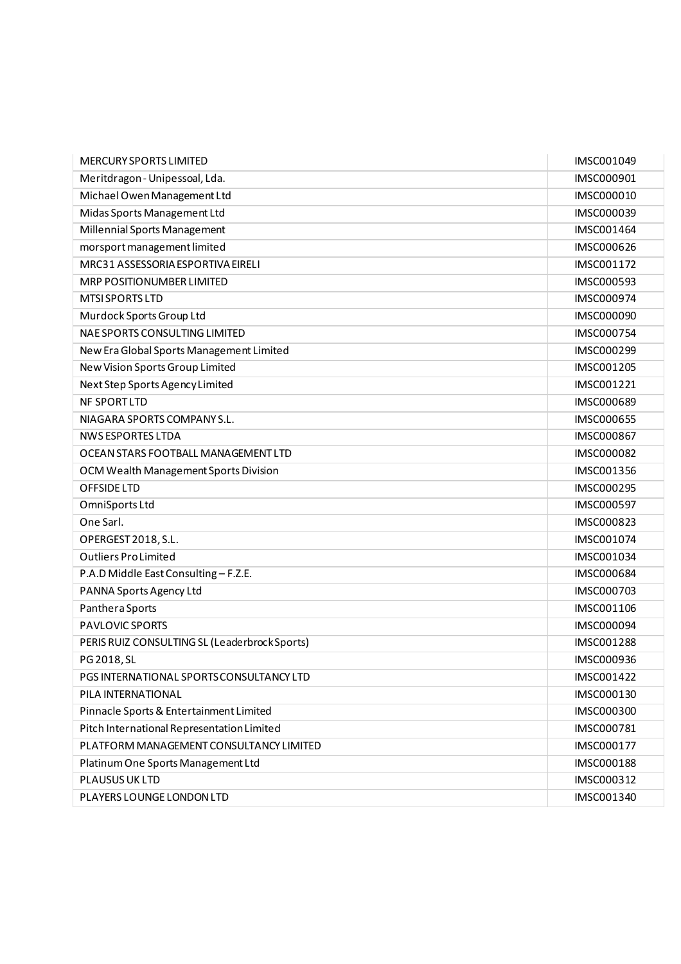| <b>MERCURY SPORTS LIMITED</b>                 | IMSC001049        |
|-----------------------------------------------|-------------------|
| Meritdragon - Unipessoal, Lda.                | IMSC000901        |
| Michael Owen Management Ltd                   | IMSC000010        |
| Midas Sports Management Ltd                   | IMSC000039        |
| Millennial Sports Management                  | IMSC001464        |
| morsport management limited                   | IMSC000626        |
| MRC31 ASSESSORIA ESPORTIVA EIRELI             | IMSC001172        |
| MRP POSITIONUMBER LIMITED                     | IMSC000593        |
| <b>MTSI SPORTS LTD</b>                        | IMSC000974        |
| Murdock Sports Group Ltd                      | IMSC000090        |
| NAE SPORTS CONSULTING LIMITED                 | IMSC000754        |
| New Era Global Sports Management Limited      | IMSC000299        |
| New Vision Sports Group Limited               | IMSC001205        |
| Next Step Sports Agency Limited               | IMSC001221        |
| <b>NF SPORTLTD</b>                            | IMSC000689        |
| NIAGARA SPORTS COMPANY S.L.                   | <b>IMSC000655</b> |
| <b>NWS ESPORTES LTDA</b>                      | IMSC000867        |
| OCEAN STARS FOOTBALL MANAGEMENT LTD           | <b>IMSC000082</b> |
| OCM Wealth Management Sports Division         | IMSC001356        |
| OFFSIDE LTD                                   | IMSC000295        |
| OmniSports Ltd                                | <b>IMSC000597</b> |
| One Sarl.                                     | IMSC000823        |
| OPERGEST 2018, S.L.                           | IMSC001074        |
| <b>Outliers ProLimited</b>                    | IMSC001034        |
| P.A.D Middle East Consulting - F.Z.E.         | IMSC000684        |
| PANNA Sports Agency Ltd                       | IMSC000703        |
| Panthera Sports                               | IMSC001106        |
| PAVLOVIC SPORTS                               | IMSC000094        |
| PERIS RUIZ CONSULTING SL (Leaderbrock Sports) | IMSC001288        |
| PG 2018, SL                                   | IMSC000936        |
| PGS INTERNATIONAL SPORTS CONSULTANCY LTD      | IMSC001422        |
| PILA INTERNATIONAL                            | IMSC000130        |
| Pinnacle Sports & Entertainment Limited       | IMSC000300        |
| Pitch International Representation Limited    | IMSC000781        |
| PLATFORM MANAGEMENT CONSULTANCY LIMITED       | IMSC000177        |
| Platinum One Sports Management Ltd            | IMSC000188        |
| PLAUSUS UK LTD                                | IMSC000312        |
| PLAYERS LOUNGE LONDON LTD                     | IMSC001340        |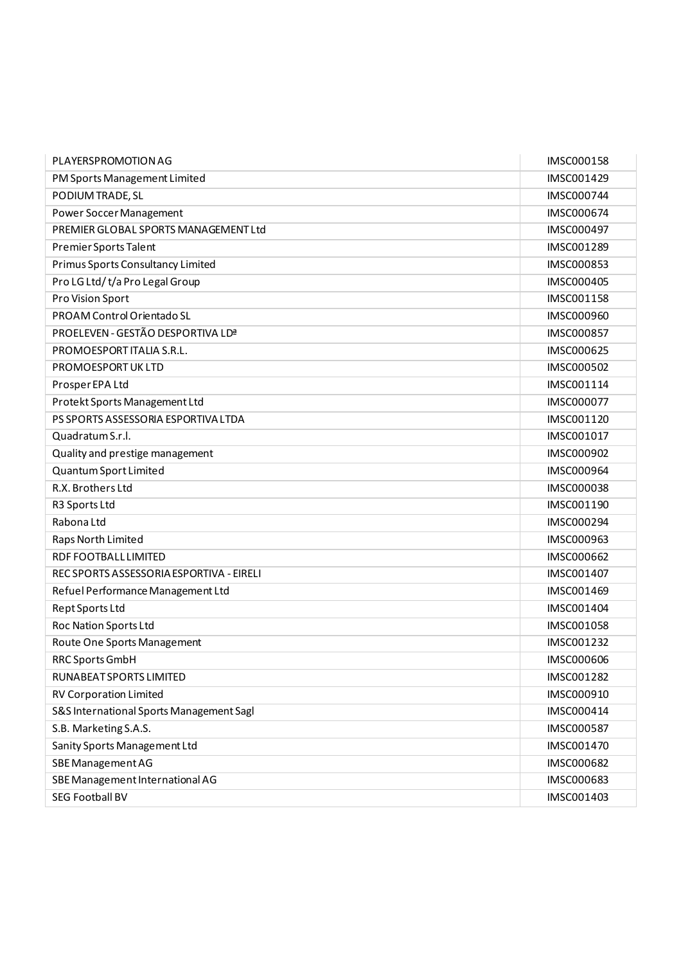| PLAYERSPROMOTION AG                      | IMSC000158        |
|------------------------------------------|-------------------|
| PM Sports Management Limited             | IMSC001429        |
| PODIUM TRADE, SL                         | IMSC000744        |
| Power Soccer Management                  | IMSC000674        |
| PREMIER GLOBAL SPORTS MANAGEMENT Ltd     | IMSC000497        |
| Premier Sports Talent                    | IMSC001289        |
| Primus Sports Consultancy Limited        | IMSC000853        |
| Pro LG Ltd/t/a Pro Legal Group           | IMSC000405        |
| Pro Vision Sport                         | IMSC001158        |
| PROAM Control Orientado SL               | IMSC000960        |
| PROELEVEN - GESTÃO DESPORTIVA LDª        | IMSC000857        |
| PROMOESPORT ITALIA S.R.L.                | IMSC000625        |
| PROMOESPORT UK LTD                       | IMSC000502        |
| Prosper EPA Ltd                          | IMSC001114        |
| Protekt Sports Management Ltd            | IMSC000077        |
| PS SPORTS ASSESSORIA ESPORTIVA LTDA      | IMSC001120        |
| Quadratum S.r.l.                         | IMSC001017        |
| Quality and prestige management          | IMSC000902        |
| Quantum Sport Limited                    | IMSC000964        |
| R.X. Brothers Ltd                        | <b>IMSC000038</b> |
| R3 Sports Ltd                            | IMSC001190        |
| Rabona Ltd                               | IMSC000294        |
| Raps North Limited                       | IMSC000963        |
| RDF FOOTBALL LIMITED                     | IMSC000662        |
| REC SPORTS ASSESSORIA ESPORTIVA - EIRELI | IMSC001407        |
| Refuel Performance Management Ltd        | IMSC001469        |
| Rept Sports Ltd                          | IMSC001404        |
| Roc Nation Sports Ltd                    | IMSC001058        |
| Route One Sports Management              | IMSC001232        |
| <b>RRC Sports GmbH</b>                   | <b>IMSC000606</b> |
| RUNABEAT SPORTS LIMITED                  | IMSC001282        |
| <b>RV Corporation Limited</b>            | IMSC000910        |
| S&S International Sports Management Sagl | IMSC000414        |
| S.B. Marketing S.A.S.                    | IMSC000587        |
| Sanity Sports Management Ltd             | IMSC001470        |
| SBE Management AG                        | IMSC000682        |
| SBE Management International AG          | IMSC000683        |
| <b>SEG Football BV</b>                   | IMSC001403        |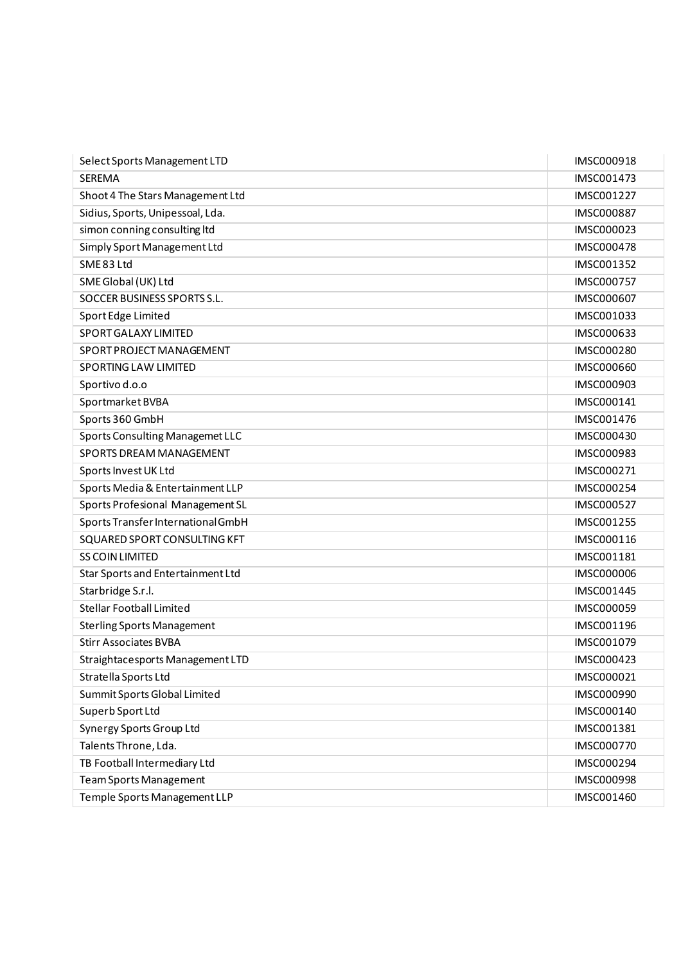| Select Sports Management LTD       | IMSC000918        |
|------------------------------------|-------------------|
| <b>SEREMA</b>                      | IMSC001473        |
| Shoot 4 The Stars Management Ltd   | IMSC001227        |
| Sidius, Sports, Unipessoal, Lda.   | <b>IMSC000887</b> |
| simon conning consulting ltd       | IMSC000023        |
| Simply Sport Management Ltd        | <b>IMSC000478</b> |
| SME 83 Ltd                         | IMSC001352        |
| SME Global (UK) Ltd                | <b>IMSC000757</b> |
| SOCCER BUSINESS SPORTS S.L.        | IMSC000607        |
| Sport Edge Limited                 | IMSC001033        |
| SPORT GALAXY LIMITED               | IMSC000633        |
| SPORT PROJECT MANAGEMENT           | <b>IMSC000280</b> |
| <b>SPORTING LAW LIMITED</b>        | IMSC000660        |
| Sportivo d.o.o                     | <b>IMSC000903</b> |
| Sportmarket BVBA                   | IMSC000141        |
| Sports 360 GmbH                    | <b>IMSC001476</b> |
| Sports Consulting Managemet LLC    | IMSC000430        |
| SPORTS DREAM MANAGEMENT            | <b>IMSC000983</b> |
| Sports Invest UK Ltd               | IMSC000271        |
| Sports Media & Entertainment LLP   | IMSC000254        |
| Sports Profesional Management SL   | IMSC000527        |
| Sports Transfer International GmbH | IMSC001255        |
| SQUARED SPORT CONSULTING KFT       | IMSC000116        |
| <b>SS COIN LIMITED</b>             | IMSC001181        |
| Star Sports and Entertainment Ltd  | <b>IMSC000006</b> |
| Starbridge S.r.l.                  | IMSC001445        |
| <b>Stellar Football Limited</b>    | IMSC000059        |
| <b>Sterling Sports Management</b>  | IMSC001196        |
| <b>Stirr Associates BVBA</b>       | IMSC001079        |
| Straightacesports Management LTD   | IMSC000423        |
| Stratella Sports Ltd               | IMSC000021        |
| Summit Sports Global Limited       | IMSC000990        |
| Superb Sport Ltd                   | IMSC000140        |
| Synergy Sports Group Ltd           | IMSC001381        |
| Talents Throne, Lda.               | IMSC000770        |
| TB Football Intermediary Ltd       | IMSC000294        |
| <b>Team Sports Management</b>      | <b>IMSC000998</b> |
| Temple Sports Management LLP       | IMSC001460        |